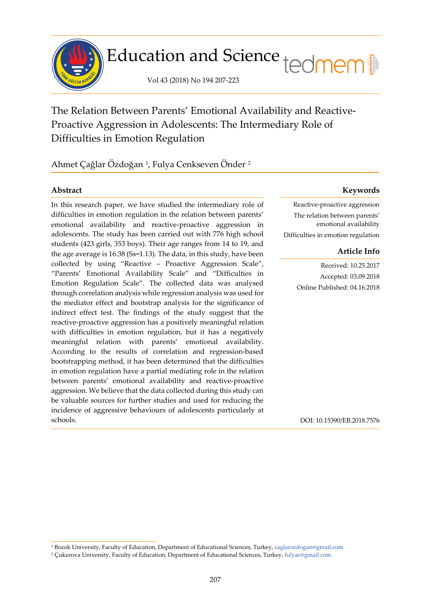

# Education and Science tedmem<sup>[1</sup>]

Vol 43 (2018) No 194 207-223

The Relation Between Parents' Emotional Availability and Reactive-Proactive Aggression in Adolescents: The Intermediary Role of Difficulties in Emotion Regulation

Ahmet Çağlar Özdoğan <sup>[1](#page-0-0)</sup>, Fulya Cenkseven Önder <sup>[2](#page-0-1)</sup>

j

In this research paper, we have studied the intermediary role of difficulties in emotion regulation in the relation between parents' emotional availability and reactive-proactive aggression in adolescents. The study has been carried out with 776 high school students (423 girls, 353 boys). Their age ranges from 14 to 19, and the age average is 16.38 (Ss=1.13). The data, in this study, have been collected by using "Reactive – Proactive Aggression Scale", "Parents' Emotional Availability Scale" and "Difficulties in Emotion Regulation Scale". The collected data was analysed through correlation analysis while regression analysis was used for the mediator effect and bootstrap analysis for the significance of indirect effect test. The findings of the study suggest that the reactive-proactive aggression has a positively meaningful relation with difficulties in emotion regulation, but it has a negatively meaningful relation with parents' emotional availability. According to the results of correlation and regression-based bootstrapping method, it has been determined that the difficulties in emotion regulation have a partial mediating role in the relation between parents' emotional availability and reactive-proactive aggression. We believe that the data collected during this study can be valuable sources for further studies and used for reducing the incidence of aggressive behaviours of adolescents particularly at schools.

# **Abstract Keywords**

Reactive-proactive aggression The relation between parents' emotional availability Difficulties in emotion regulation

# **Article Info**

Received: 10.25.2017 Accepted: 03.09.2018 Online Published: 04.16.2018

DOI: 10.15390/EB.2018.7576

<span id="page-0-0"></span><sup>1</sup> Bozok University, Faculty of Education, Department of Educational Sciences, Turkey, [caglarozdogan@gmail.com](mailto:caglarozdogan@gmail.com)

<span id="page-0-1"></span><sup>2</sup> Çukurova University, Faculty of Education, Department of Educational Sciences, Turkey, [fulyac@gmail.com](mailto:fulyac@gmail.com)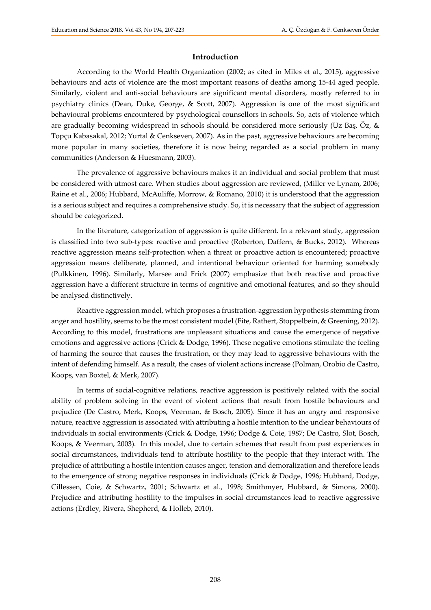# **Introduction**

According to the World Health Organization (2002; as cited in Miles et al., 2015), aggressive behaviours and acts of violence are the most important reasons of deaths among 15-44 aged people. Similarly, violent and anti-social behaviours are significant mental disorders, mostly referred to in psychiatry clinics (Dean, Duke, George, & Scott, 2007). Aggression is one of the most significant behavioural problems encountered by psychological counsellors in schools. So, acts of violence which are gradually becoming widespread in schools should be considered more seriously (Uz Bas,  $\ddot{O}z$ , & Topçu Kabasakal, 2012; Yurtal & Cenkseven, 2007). As in the past, aggressive behaviours are becoming more popular in many societies, therefore it is now being regarded as a social problem in many communities (Anderson & Huesmann, 2003).

The prevalence of aggressive behaviours makes it an individual and social problem that must be considered with utmost care. When studies about aggression are reviewed, (Miller ve Lynam, 2006; Raine et al., 2006; Hubbard, McAuliffe, Morrow, & Romano, 2010) it is understood that the aggression is a serious subject and requires a comprehensive study. So, it is necessary that the subject of aggression should be categorized.

In the literature, categorization of aggression is quite different. In a relevant study, aggression is classified into two sub-types: reactive and proactive (Roberton, Daffern, & Bucks, 2012). Whereas reactive aggression means self-protection when a threat or proactive action is encountered; proactive aggression means deliberate, planned, and intentional behaviour oriented for harming somebody (Pulkkinen, 1996). Similarly, Marsee and Frick (2007) emphasize that both reactive and proactive aggression have a different structure in terms of cognitive and emotional features, and so they should be analysed distinctively.

Reactive aggression model, which proposes a frustration-aggression hypothesis stemming from anger and hostility, seems to be the most consistent model (Fite, Rathert, Stoppelbein, & Greening, 2012). According to this model, frustrations are unpleasant situations and cause the emergence of negative emotions and aggressive actions (Crick & Dodge, 1996). These negative emotions stimulate the feeling of harming the source that causes the frustration, or they may lead to aggressive behaviours with the intent of defending himself. As a result, the cases of violent actions increase (Polman, Orobio de Castro, Koops, van Boxtel, & Merk, 2007).

In terms of social-cognitive relations, reactive aggression is positively related with the social ability of problem solving in the event of violent actions that result from hostile behaviours and prejudice (De Castro, Merk, Koops, Veerman, & Bosch, 2005). Since it has an angry and responsive nature, reactive aggression is associated with attributing a hostile intention to the unclear behaviours of individuals in social environments (Crick & Dodge, 1996; Dodge & Coie, 1987; De Castro, Slot, Bosch, Koops, & Veerman, 2003). In this model, due to certain schemes that result from past experiences in social circumstances, individuals tend to attribute hostility to the people that they interact with. The prejudice of attributing a hostile intention causes anger, tension and demoralization and therefore leads to the emergence of strong negative responses in individuals (Crick & Dodge, 1996; Hubbard, Dodge, Cillessen, Coie, & Schwartz, 2001; Schwartz et al., 1998; Smithmyer, Hubbard, & Simons, 2000). Prejudice and attributing hostility to the impulses in social circumstances lead to reactive aggressive actions (Erdley, Rivera, Shepherd, & Holleb, 2010).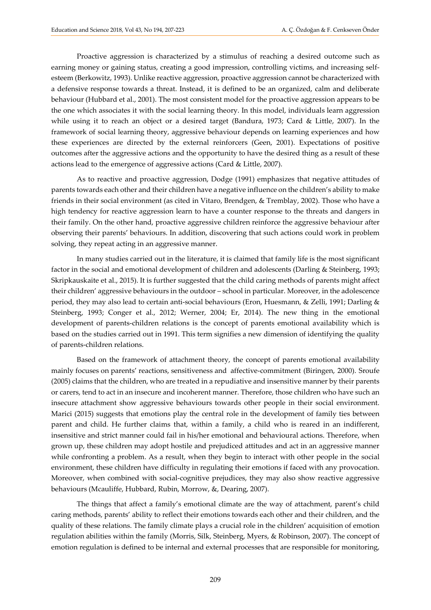Proactive aggression is characterized by a stimulus of reaching a desired outcome such as earning money or gaining status, creating a good impression, controlling victims, and increasing selfesteem (Berkowitz, 1993). Unlike reactive aggression, proactive aggression cannot be characterized with a defensive response towards a threat. Instead, it is defined to be an organized, calm and deliberate behaviour (Hubbard et al., 2001). The most consistent model for the proactive aggression appears to be the one which associates it with the social learning theory. In this model, individuals learn aggression while using it to reach an object or a desired target (Bandura, 1973; Card & Little, 2007). In the framework of social learning theory, aggressive behaviour depends on learning experiences and how these experiences are directed by the external reinforcers (Geen, 2001). Expectations of positive outcomes after the aggressive actions and the opportunity to have the desired thing as a result of these actions lead to the emergence of aggressive actions (Card & Little, 2007).

As to reactive and proactive aggression, Dodge (1991) emphasizes that negative attitudes of parents towards each other and their children have a negative influence on the children's ability to make friends in their social environment (as cited in Vitaro, Brendgen, & Tremblay, 2002). Those who have a high tendency for reactive aggression learn to have a counter response to the threats and dangers in their family. On the other hand, proactive aggressive children reinforce the aggressive behaviour after observing their parents' behaviours. In addition, discovering that such actions could work in problem solving, they repeat acting in an aggressive manner.

In many studies carried out in the literature, it is claimed that family life is the most significant factor in the social and emotional development of children and adolescents (Darling & Steinberg, 1993; Skripkauskaite et al., 2015). It is further suggested that the child caring methods of parents might affect their children' aggressive behaviours in the outdoor – school in particular. Moreover, in the adolescence period, they may also lead to certain anti-social behaviours (Eron, Huesmann, & Zelli, 1991; Darling & Steinberg, 1993; Conger et al., 2012; Werner, 2004; Er, 2014). The new thing in the emotional development of parents-children relations is the concept of parents emotional availability which is based on the studies carried out in 1991. This term signifies a new dimension of identifying the quality of parents-children relations.

Based on the framework of attachment theory, the concept of parents emotional availability mainly focuses on parents' reactions, sensitiveness and affective-commitment (Biringen, 2000). Sroufe (2005) claims that the children, who are treated in a repudiative and insensitive manner by their parents or carers, tend to act in an insecure and incoherent manner. Therefore, those children who have such an insecure attachment show aggressive behaviours towards other people in their social environment. Marici (2015) suggests that emotions play the central role in the development of family ties between parent and child. He further claims that, within a family, a child who is reared in an indifferent, insensitive and strict manner could fail in his/her emotional and behavioural actions. Therefore, when grown up, these children may adopt hostile and prejudiced attitudes and act in an aggressive manner while confronting a problem. As a result, when they begin to interact with other people in the social environment, these children have difficulty in regulating their emotions if faced with any provocation. Moreover, when combined with social-cognitive prejudices, they may also show reactive aggressive behaviours (Mcauliffe, Hubbard, Rubin, Morrow, &, Dearing, 2007).

The things that affect a family's emotional climate are the way of attachment, parent's child caring methods, parents' ability to reflect their emotions towards each other and their children, and the quality of these relations. The family climate plays a crucial role in the children' acquisition of emotion regulation abilities within the family (Morris, Silk, Steinberg, Myers, & Robinson, 2007). The concept of emotion regulation is defined to be internal and external processes that are responsible for monitoring,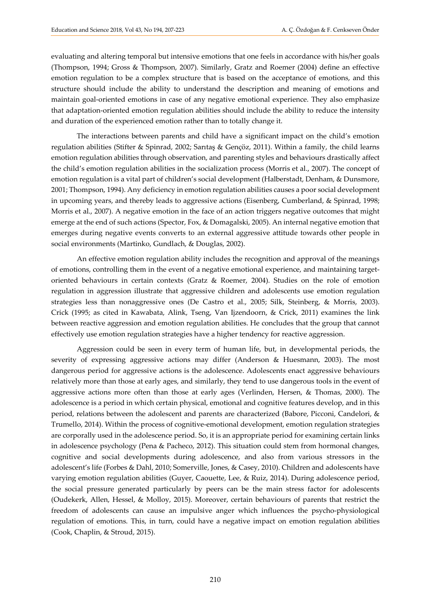evaluating and altering temporal but intensive emotions that one feels in accordance with his/her goals (Thompson, 1994; Gross & Thompson, 2007). Similarly, Gratz and Roemer (2004) define an effective emotion regulation to be a complex structure that is based on the acceptance of emotions, and this structure should include the ability to understand the description and meaning of emotions and maintain goal-oriented emotions in case of any negative emotional experience. They also emphasize that adaptation-oriented emotion regulation abilities should include the ability to reduce the intensity and duration of the experienced emotion rather than to totally change it.

The interactions between parents and child have a significant impact on the child's emotion regulation abilities (Stifter & Spinrad, 2002; Sarıtaş & Gençöz, 2011). Within a family, the child learns emotion regulation abilities through observation, and parenting styles and behaviours drastically affect the child's emotion regulation abilities in the socialization process (Morris et al., 2007). The concept of emotion regulation is a vital part of children's social development (Halberstadt, Denham, & Dunsmore, 2001; Thompson, 1994). Any deficiency in emotion regulation abilities causes a poor social development in upcoming years, and thereby leads to aggressive actions (Eisenberg, Cumberland, & Spinrad, 1998; Morris et al., 2007). A negative emotion in the face of an action triggers negative outcomes that might emerge at the end of such actions (Spector, Fox, & Domagalski, 2005). An internal negative emotion that emerges during negative events converts to an external aggressive attitude towards other people in social environments (Martinko, Gundlach, & Douglas, 2002).

An effective emotion regulation ability includes the recognition and approval of the meanings of emotions, controlling them in the event of a negative emotional experience, and maintaining targetoriented behaviours in certain contexts (Gratz & Roemer, 2004). Studies on the role of emotion regulation in aggression illustrate that aggressive children and adolescents use emotion regulation strategies less than nonaggressive ones (De Castro et al., 2005; Silk, Steinberg, & Morris, 2003). Crick (1995; as cited in Kawabata, Alink, Tseng, Van Ijzendoorn, & Crick, 2011) examines the link between reactive aggression and emotion regulation abilities. He concludes that the group that cannot effectively use emotion regulation strategies have a higher tendency for reactive aggression.

Aggression could be seen in every term of human life, but, in developmental periods, the severity of expressing aggressive actions may differ (Anderson & Huesmann, 2003). The most dangerous period for aggressive actions is the adolescence. Adolescents enact aggressive behaviours relatively more than those at early ages, and similarly, they tend to use dangerous tools in the event of aggressive actions more often than those at early ages (Verlinden, Hersen, & Thomas, 2000). The adolescence is a period in which certain physical, emotional and cognitive features develop, and in this period, relations between the adolescent and parents are characterized (Babore, Picconi, Candelori, & Trumello, 2014). Within the process of cognitive-emotional development, emotion regulation strategies are corporally used in the adolescence period. So, it is an appropriate period for examining certain links in adolescence psychology (Pena & Pacheco, 2012). This situation could stem from hormonal changes, cognitive and social developments during adolescence, and also from various stressors in the adolescent's life (Forbes & Dahl, 2010; Somerville, Jones, & Casey, 2010). Children and adolescents have varying emotion regulation abilities (Guyer, Caouette, Lee, & Ruiz, 2014). During adolescence period, the social pressure generated particularly by peers can be the main stress factor for adolescents (Oudekerk, Allen, Hessel, & Molloy, 2015). Moreover, certain behaviours of parents that restrict the freedom of adolescents can cause an impulsive anger which influences the psycho-physiological regulation of emotions. This, in turn, could have a negative impact on emotion regulation abilities (Cook, Chaplin, & Stroud, 2015).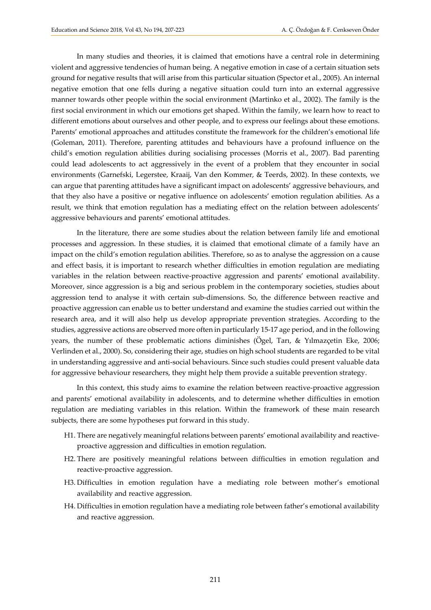In many studies and theories, it is claimed that emotions have a central role in determining violent and aggressive tendencies of human being. A negative emotion in case of a certain situation sets ground for negative results that will arise from this particular situation (Spector et al., 2005). An internal negative emotion that one fells during a negative situation could turn into an external aggressive manner towards other people within the social environment (Martinko et al., 2002). The family is the first social environment in which our emotions get shaped. Within the family, we learn how to react to different emotions about ourselves and other people, and to express our feelings about these emotions. Parents' emotional approaches and attitudes constitute the framework for the children's emotional life (Goleman, 2011). Therefore, parenting attitudes and behaviours have a profound influence on the child's emotion regulation abilities during socialising processes (Morris et al., 2007). Bad parenting could lead adolescents to act aggressively in the event of a problem that they encounter in social environments (Garnefski, Legerstee, Kraaij, Van den Kommer, & Teerds, 2002). In these contexts, we can argue that parenting attitudes have a significant impact on adolescents' aggressive behaviours, and that they also have a positive or negative influence on adolescents' emotion regulation abilities. As a result, we think that emotion regulation has a mediating effect on the relation between adolescents' aggressive behaviours and parents' emotional attitudes.

In the literature, there are some studies about the relation between family life and emotional processes and aggression. In these studies, it is claimed that emotional climate of a family have an impact on the child's emotion regulation abilities. Therefore, so as to analyse the aggression on a cause and effect basis, it is important to research whether difficulties in emotion regulation are mediating variables in the relation between reactive-proactive aggression and parents' emotional availability. Moreover, since aggression is a big and serious problem in the contemporary societies, studies about aggression tend to analyse it with certain sub-dimensions. So, the difference between reactive and proactive aggression can enable us to better understand and examine the studies carried out within the research area, and it will also help us develop appropriate prevention strategies. According to the studies, aggressive actions are observed more often in particularly 15-17 age period, and in the following years, the number of these problematic actions diminishes (Ögel, Tarı, & Yılmazçetin Eke, 2006; Verlinden et al., 2000). So, considering their age, studies on high school students are regarded to be vital in understanding aggressive and anti-social behaviours. Since such studies could present valuable data for aggressive behaviour researchers, they might help them provide a suitable prevention strategy.

In this context, this study aims to examine the relation between reactive-proactive aggression and parents' emotional availability in adolescents, and to determine whether difficulties in emotion regulation are mediating variables in this relation. Within the framework of these main research subjects, there are some hypotheses put forward in this study.

- H1. There are negatively meaningful relations between parents' emotional availability and reactiveproactive aggression and difficulties in emotion regulation.
- H2. There are positively meaningful relations between difficulties in emotion regulation and reactive-proactive aggression.
- H3. Difficulties in emotion regulation have a mediating role between mother's emotional availability and reactive aggression.
- H4. Difficulties in emotion regulation have a mediating role between father's emotional availability and reactive aggression.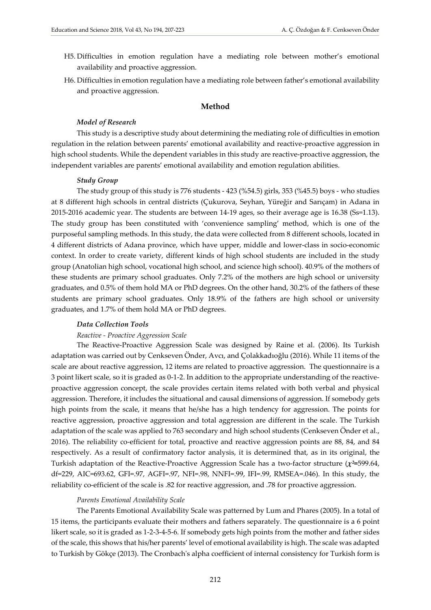- H5. Difficulties in emotion regulation have a mediating role between mother's emotional availability and proactive aggression.
- H6. Difficulties in emotion regulation have a mediating role between father's emotional availability and proactive aggression.

# **Method**

## *Model of Research*

This study is a descriptive study about determining the mediating role of difficulties in emotion regulation in the relation between parents' emotional availability and reactive-proactive aggression in high school students. While the dependent variables in this study are reactive-proactive aggression, the independent variables are parents' emotional availability and emotion regulation abilities.

#### *Study Group*

The study group of this study is 776 students - 423 (%54.5) girls, 353 (%45.5) boys - who studies at 8 different high schools in central districts (Çukurova, Seyhan, Yüreğir and Sarıçam) in Adana in 2015-2016 academic year. The students are between 14-19 ages, so their average age is 16.38 (Ss=1.13). The study group has been constituted with 'convenience sampling' method, which is one of the purposeful sampling methods. In this study, the data were collected from 8 different schools, located in 4 different districts of Adana province, which have upper, middle and lower-class in socio-economic context. In order to create variety, different kinds of high school students are included in the study group (Anatolian high school, vocational high school, and science high school). 40.9% of the mothers of these students are primary school graduates. Only 7.2% of the mothers are high school or university graduates, and 0.5% of them hold MA or PhD degrees. On the other hand, 30.2% of the fathers of these students are primary school graduates. Only 18.9% of the fathers are high school or university graduates, and 1.7% of them hold MA or PhD degrees.

#### *Data Collection Tools*

#### *Reactive - Proactive Aggression Scale*

The Reactive-Proactive Aggression Scale was designed by Raine et al. (2006). Its Turkish adaptation was carried out by Cenkseven Önder, Avcı, and Çolakkadıoğlu (2016). While 11 items of the scale are about reactive aggression, 12 items are related to proactive aggression. The questionnaire is a 3 point likert scale, so it is graded as 0-1-2. In addition to the appropriate understanding of the reactiveproactive aggression concept, the scale provides certain items related with both verbal and physical aggression. Therefore, it includes the situational and causal dimensions of aggression. If somebody gets high points from the scale, it means that he/she has a high tendency for aggression. The points for reactive aggression, proactive aggression and total aggression are different in the scale. The Turkish adaptation of the scale was applied to 763 secondary and high school students (Cenkseven Önder et al., 2016). The reliability co-efficient for total, proactive and reactive aggression points are 88, 84, and 84 respectively. As a result of confirmatory factor analysis, it is determined that, as in its original, the Turkish adaptation of the Reactive-Proactive Aggression Scale has a two-factor structure (*χ²=*599.64, df=229, AIC=693.62, GFI=.97, AGFI=.97, NFI=.98, NNFI=.99, IFI=.99, RMSEA=.046). In this study, the reliability co-efficient of the scale is .82 for reactive aggression, and .78 for proactive aggression.

#### *Parents Emotional Availability Scale*

The Parents Emotional Availability Scale was patterned by Lum and Phares (2005). In a total of 15 items, the participants evaluate their mothers and fathers separately. The questionnaire is a 6 point likert scale, so it is graded as 1-2-3-4-5-6. If somebody gets high points from the mother and father sides of the scale, this shows that his/her parents' level of emotional availability is high. The scale was adapted to Turkish by Gökçe (2013). The Cronbach's alpha coefficient of internal consistency for Turkish form is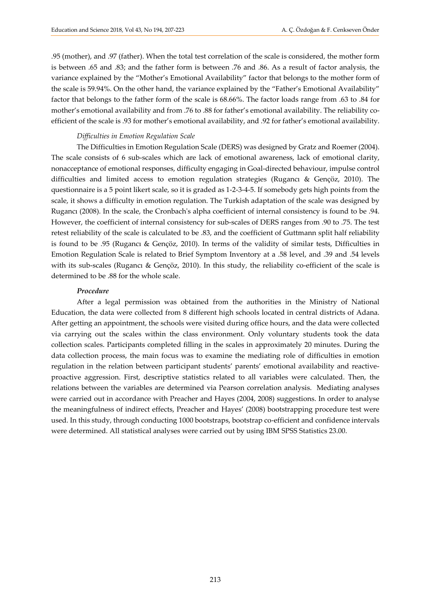.95 (mother), and .97 (father). When the total test correlation of the scale is considered, the mother form is between .65 and .83; and the father form is between .76 and .86. As a result of factor analysis, the variance explained by the "Mother's Emotional Availability" factor that belongs to the mother form of the scale is 59.94%. On the other hand, the variance explained by the "Father's Emotional Availability" factor that belongs to the father form of the scale is 68.66%. The factor loads range from .63 to .84 for mother's emotional availability and from .76 to .88 for father's emotional availability. The reliability coefficient of the scale is .93 for mother's emotional availability, and .92 for father's emotional availability.

#### *Difficulties in Emotion Regulation Scale*

The Difficulties in Emotion Regulation Scale (DERS) was designed by Gratz and Roemer (2004). The scale consists of 6 sub-scales which are lack of emotional awareness, lack of emotional clarity, nonacceptance of emotional responses, difficulty engaging in Goal-directed behaviour, impulse control difficulties and limited access to emotion regulation strategies (Rugancı & Gençöz, 2010). The questionnaire is a 5 point likert scale, so it is graded as 1-2-3-4-5. If somebody gets high points from the scale, it shows a difficulty in emotion regulation. The Turkish adaptation of the scale was designed by Rugancı (2008). In the scale, the Cronbach's alpha coefficient of internal consistency is found to be .94. However, the coefficient of internal consistency for sub-scales of DERS ranges from .90 to .75. The test retest reliability of the scale is calculated to be .83, and the coefficient of Guttmann split half reliability is found to be .95 (Rugancı & Gençöz, 2010). In terms of the validity of similar tests, Difficulties in Emotion Regulation Scale is related to Brief Symptom Inventory at a .58 level, and .39 and .54 levels with its sub-scales (Rugancı & Gençöz, 2010). In this study, the reliability co-efficient of the scale is determined to be .88 for the whole scale.

### *Procedure*

After a legal permission was obtained from the authorities in the Ministry of National Education, the data were collected from 8 different high schools located in central districts of Adana. After getting an appointment, the schools were visited during office hours, and the data were collected via carrying out the scales within the class environment. Only voluntary students took the data collection scales. Participants completed filling in the scales in approximately 20 minutes. During the data collection process, the main focus was to examine the mediating role of difficulties in emotion regulation in the relation between participant students' parents' emotional availability and reactiveproactive aggression. First, descriptive statistics related to all variables were calculated. Then, the relations between the variables are determined via Pearson correlation analysis. Mediating analyses were carried out in accordance with Preacher and Hayes (2004, 2008) suggestions. In order to analyse the meaningfulness of indirect effects, Preacher and Hayes' (2008) bootstrapping procedure test were used. In this study, through conducting 1000 bootstraps, bootstrap co-efficient and confidence intervals were determined. All statistical analyses were carried out by using IBM SPSS Statistics 23.00.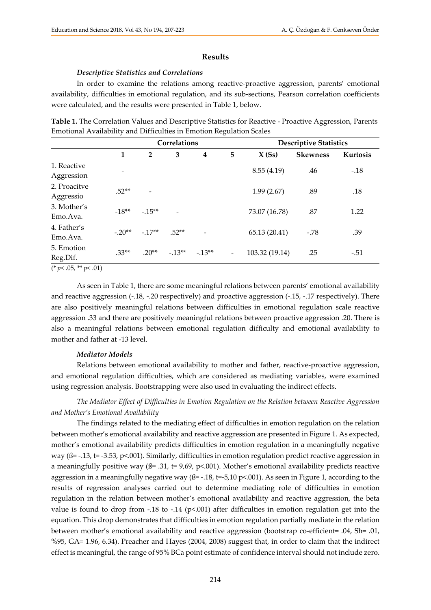#### **Results**

#### *Descriptive Statistics and Correlations*

In order to examine the relations among reactive-proactive aggression, parents' emotional availability, difficulties in emotional regulation, and its sub-sections, Pearson correlation coefficients were calculated, and the results were presented in Table 1, below.

**Table 1.** The Correlation Values and Descriptive Statistics for Reactive - Proactive Aggression, Parents Emotional Availability and Difficulties in Emotion Regulation Scales

|                           | Correlations |                   |                          |                         |                          | <b>Descriptive Statistics</b> |                 |          |
|---------------------------|--------------|-------------------|--------------------------|-------------------------|--------------------------|-------------------------------|-----------------|----------|
|                           | $\mathbf{1}$ | $\overline{2}$    | 3                        | $\overline{\mathbf{4}}$ | 5                        | X(Ss)                         | <b>Skewness</b> | Kurtosis |
| 1. Reactive<br>Aggression | ۰            |                   |                          |                         |                          | 8.55(4.19)                    | .46             | $-.18$   |
| 2. Proacitve<br>Aggressio | $.52**$      | $\qquad \qquad -$ |                          |                         |                          | 1.99(2.67)                    | .89             | .18      |
| 3. Mother's<br>Emo.Ava.   | $-18**$      | $-.15**$          | $\overline{\phantom{0}}$ |                         |                          | 73.07 (16.78)                 | .87             | 1.22     |
| 4. Father's<br>Emo.Ava.   | $-20**$      | $-.17**$          | $.52**$                  | $\qquad \qquad -$       |                          | 65.13 (20.41)                 | $-.78$          | .39      |
| 5. Emotion<br>Reg.Dif.    | $.33**$      | $.20**$           | $-13**$                  | $-13**$                 | $\overline{\phantom{a}}$ | 103.32 (19.14)                | .25             | $-.51$   |

 $(* p < .05, ** p < .01)$ 

As seen in Table 1, there are some meaningful relations between parents' emotional availability and reactive aggression (-.18, -.20 respectively) and proactive aggression (-.15, -.17 respectively). There are also positively meaningful relations between difficulties in emotional regulation scale reactive aggression .33 and there are positively meaningful relations between proactive aggression .20. There is also a meaningful relations between emotional regulation difficulty and emotional availability to mother and father at -13 level.

# *Mediator Models*

Relations between emotional availability to mother and father, reactive-proactive aggression, and emotional regulation difficulties, which are considered as mediating variables, were examined using regression analysis. Bootstrapping were also used in evaluating the indirect effects.

*The Mediator Effect of Difficulties in Emotion Regulation on the Relation between Reactive Aggression and Mother's Emotional Availability*

The findings related to the mediating effect of difficulties in emotion regulation on the relation between mother's emotional availability and reactive aggression are presented in Figure 1. As expected, mother's emotional availability predicts difficulties in emotion regulation in a meaningfully negative way (ß= -.13, t= -3.53, p<.001). Similarly, difficulties in emotion regulation predict reactive aggression in a meaningfully positive way ( $\beta$ = .31, t= 9,69, p<.001). Mother's emotional availability predicts reactive aggression in a meaningfully negative way ( $\beta$ = -.18, t=-5,10 p<.001). As seen in Figure 1, according to the results of regression analyses carried out to determine mediating role of difficulties in emotion regulation in the relation between mother's emotional availability and reactive aggression, the beta value is found to drop from -.18 to -.14 ( $p<0.001$ ) after difficulties in emotion regulation get into the equation. This drop demonstrates that difficulties in emotion regulation partially mediate in the relation between mother's emotional availability and reactive aggression (bootstrap co-efficient= .04, Sh= .01, %95, GA= 1.96, 6.34). Preacher and Hayes (2004, 2008) suggest that, in order to claim that the indirect effect is meaningful, the range of 95% BCa point estimate of confidence interval should not include zero.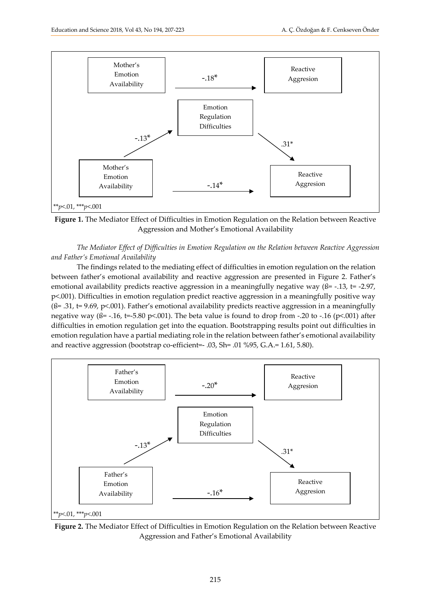

**Figure 1.** The Mediator Effect of Difficulties in Emotion Regulation on the Relation between Reactive Aggression and Mother's Emotional Availability

*The Mediator Effect of Difficulties in Emotion Regulation on the Relation between Reactive Aggression and Father's Emotional Availability*

The findings related to the mediating effect of difficulties in emotion regulation on the relation between father's emotional availability and reactive aggression are presented in Figure 2. Father's emotional availability predicts reactive aggression in a meaningfully negative way ( $\beta$ = -.13, t= -2.97, p<.001). Difficulties in emotion regulation predict reactive aggression in a meaningfully positive way  $($ ß= .31, t= 9.69, p<.001). Father's emotional availability predicts reactive aggression in a meaningfully negative way ( $\beta$ = -.16, t=-5.80 p<.001). The beta value is found to drop from -.20 to -.16 (p<.001) after difficulties in emotion regulation get into the equation. Bootstrapping results point out difficulties in emotion regulation have a partial mediating role in the relation between father's emotional availability and reactive aggression (bootstrap co-efficient=- .03, Sh= .01 %95, G.A.= 1.61, 5.80).



**Figure 2.** The Mediator Effect of Difficulties in Emotion Regulation on the Relation between Reactive Aggression and Father's Emotional Availability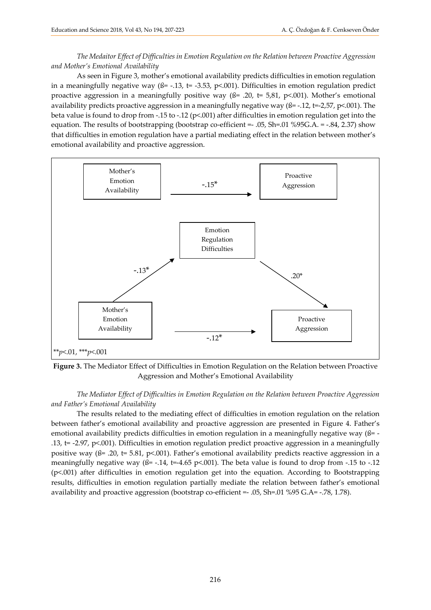*The Medaitor Effect of Difficulties in Emotion Regulation on the Relation between Proactive Aggression and Mother's Emotional Availability*

As seen in Figure 3, mother's emotional availability predicts difficulties in emotion regulation in a meaningfully negative way ( $\beta$ = -.13, t= -3.53, p<.001). Difficulties in emotion regulation predict proactive aggression in a meaningfully positive way ( $\beta$ = .20, t= 5,81, p<.001). Mother's emotional availability predicts proactive aggression in a meaningfully negative way ( $\beta$ = -.12, t=-2,57, p<.001). The beta value is found to drop from -.15 to -.12 (p<.001) after difficulties in emotion regulation get into the equation. The results of bootstrapping (bootstrap co-efficient =  $.05$ , Sh= $.01\%95G.A. = .84, 2.37$ ) show that difficulties in emotion regulation have a partial mediating effect in the relation between mother's emotional availability and proactive aggression.



**Figure 3.** The Mediator Effect of Difficulties in Emotion Regulation on the Relation between Proactive Aggression and Mother's Emotional Availability

*The Mediator Effect of Difficulties in Emotion Regulation on the Relation between Proactive Aggression and Father's Emotional Availability*

The results related to the mediating effect of difficulties in emotion regulation on the relation between father's emotional availability and proactive aggression are presented in Figure 4. Father's emotional availability predicts difficulties in emotion regulation in a meaningfully negative way (ß= -.13, t= -2.97, p<.001). Difficulties in emotion regulation predict proactive aggression in a meaningfully positive way ( $\beta$ = .20, t= 5.81, p<.001). Father's emotional availability predicts reactive aggression in a meaningfully negative way ( $\beta$ = -.14, t=-4.65 p <.001). The beta value is found to drop from -.15 to -.12 (p<.001) after difficulties in emotion regulation get into the equation. According to Bootstrapping results, difficulties in emotion regulation partially mediate the relation between father's emotional availability and proactive aggression (bootstrap co-efficient =- .05, Sh=.01 %95 G.A= -.78, 1.78).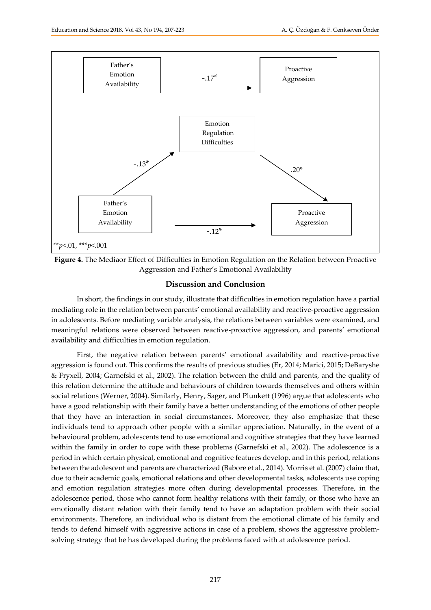

**Figure 4.** The Mediaor Effect of Difficulties in Emotion Regulation on the Relation between Proactive Aggression and Father's Emotional Availability

#### **Discussion and Conclusion**

In short, the findings in our study, illustrate that difficulties in emotion regulation have a partial mediating role in the relation between parents' emotional availability and reactive-proactive aggression in adolescents. Before mediating variable analysis, the relations between variables were examined, and meaningful relations were observed between reactive-proactive aggression, and parents' emotional availability and difficulties in emotion regulation.

First, the negative relation between parents' emotional availability and reactive-proactive aggression is found out. This confirms the results of previous studies (Er, 2014; Marici, 2015; DeBaryshe & Fryxell, 2004; Garnefski et al., 2002). The relation between the child and parents, and the quality of this relation determine the attitude and behaviours of children towards themselves and others within social relations (Werner, 2004). Similarly, Henry, Sager, and Plunkett (1996) argue that adolescents who have a good relationship with their family have a better understanding of the emotions of other people that they have an interaction in social circumstances. Moreover, they also emphasize that these individuals tend to approach other people with a similar appreciation. Naturally, in the event of a behavioural problem, adolescents tend to use emotional and cognitive strategies that they have learned within the family in order to cope with these problems (Garnefski et al., 2002). The adolescence is a period in which certain physical, emotional and cognitive features develop, and in this period, relations between the adolescent and parents are characterized (Babore et al., 2014). Morris et al. (2007) claim that, due to their academic goals, emotional relations and other developmental tasks, adolescents use coping and emotion regulation strategies more often during developmental processes. Therefore, in the adolescence period, those who cannot form healthy relations with their family, or those who have an emotionally distant relation with their family tend to have an adaptation problem with their social environments. Therefore, an individual who is distant from the emotional climate of his family and tends to defend himself with aggressive actions in case of a problem, shows the aggressive problemsolving strategy that he has developed during the problems faced with at adolescence period.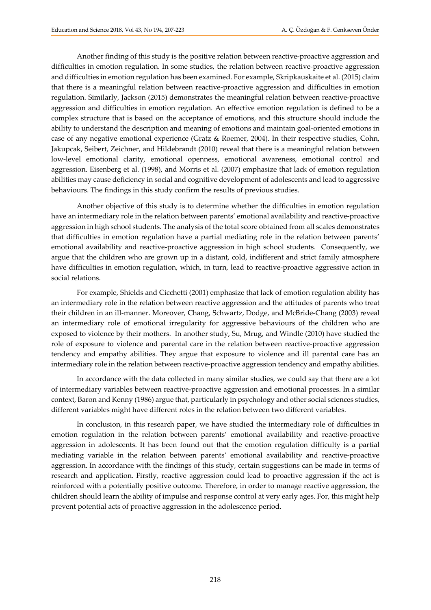Another finding of this study is the positive relation between reactive-proactive aggression and difficulties in emotion regulation. In some studies, the relation between reactive-proactive aggression and difficulties in emotion regulation has been examined. For example, Skripkauskaite et al. (2015) claim that there is a meaningful relation between reactive-proactive aggression and difficulties in emotion regulation. Similarly, Jackson (2015) demonstrates the meaningful relation between reactive-proactive aggression and difficulties in emotion regulation. An effective emotion regulation is defined to be a complex structure that is based on the acceptance of emotions, and this structure should include the ability to understand the description and meaning of emotions and maintain goal-oriented emotions in case of any negative emotional experience (Gratz & Roemer, 2004). In their respective studies, Cohn, Jakupcak, Seibert, Zeichner, and Hildebrandt (2010) reveal that there is a meaningful relation between low-level emotional clarity, emotional openness, emotional awareness, emotional control and aggression. Eisenberg et al. (1998), and Morris et al. (2007) emphasize that lack of emotion regulation abilities may cause deficiency in social and cognitive development of adolescents and lead to aggressive behaviours. The findings in this study confirm the results of previous studies.

Another objective of this study is to determine whether the difficulties in emotion regulation have an intermediary role in the relation between parents' emotional availability and reactive-proactive aggression in high school students. The analysis of the total score obtained from all scales demonstrates that difficulties in emotion regulation have a partial mediating role in the relation between parents' emotional availability and reactive-proactive aggression in high school students. Consequently, we argue that the children who are grown up in a distant, cold, indifferent and strict family atmosphere have difficulties in emotion regulation, which, in turn, lead to reactive-proactive aggressive action in social relations.

For example, Shields and Cicchetti (2001) emphasize that lack of emotion regulation ability has an intermediary role in the relation between reactive aggression and the attitudes of parents who treat their children in an ill-manner. Moreover, Chang, Schwartz, Dodge, and McBride-Chang (2003) reveal an intermediary role of emotional irregularity for aggressive behaviours of the children who are exposed to violence by their mothers. In another study, Su, Mrug, and Windle (2010) have studied the role of exposure to violence and parental care in the relation between reactive-proactive aggression tendency and empathy abilities. They argue that exposure to violence and ill parental care has an intermediary role in the relation between reactive-proactive aggression tendency and empathy abilities.

In accordance with the data collected in many similar studies, we could say that there are a lot of intermediary variables between reactive-proactive aggression and emotional processes. In a similar context, Baron and Kenny (1986) argue that, particularly in psychology and other social sciences studies, different variables might have different roles in the relation between two different variables.

In conclusion, in this research paper, we have studied the intermediary role of difficulties in emotion regulation in the relation between parents' emotional availability and reactive-proactive aggression in adolescents. It has been found out that the emotion regulation difficulty is a partial mediating variable in the relation between parents' emotional availability and reactive-proactive aggression. In accordance with the findings of this study, certain suggestions can be made in terms of research and application. Firstly, reactive aggression could lead to proactive aggression if the act is reinforced with a potentially positive outcome. Therefore, in order to manage reactive aggression, the children should learn the ability of impulse and response control at very early ages. For, this might help prevent potential acts of proactive aggression in the adolescence period.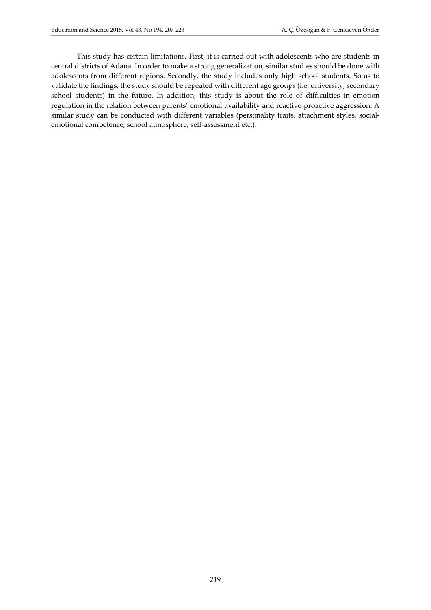This study has certain limitations. First, it is carried out with adolescents who are students in central districts of Adana. In order to make a strong generalization, similar studies should be done with adolescents from different regions. Secondly, the study includes only high school students. So as to validate the findings, the study should be repeated with different age groups (i.e. university, secondary school students) in the future. In addition, this study is about the role of difficulties in emotion regulation in the relation between parents' emotional availability and reactive-proactive aggression. A similar study can be conducted with different variables (personality traits, attachment styles, socialemotional competence, school atmosphere, self-assessment etc.).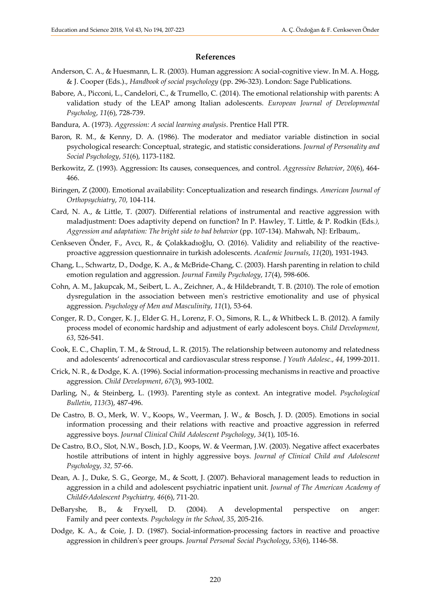#### **References**

- Anderson, C. A., & Huesmann, L. R. (2003). [Human aggression: A social-cognitive view](http://www.psychology.iastate.edu/faculty/caa/abstracts/2000-2004/03AH.pdf). In M. A. Hogg, & J. Cooper (Eds.)., *Handbook of social psychology* (pp. 296-323). London: Sage Publications.
- Babore, A., Picconi, L., Candelori, C., & Trumello, C. (2014). The emotional relationship with parents: A validation study of the LEAP among Italian adolescents. *European Journal of Developmental Psycholog*, *11*(6), 728-739.
- Bandura, A. (1973). *Aggression: A social learning analysis*. Prentice Hall PTR.
- Baron, R. M., & Kenny, D. A. (1986). The moderator and mediator variable distinction in social psychological research: Conceptual, strategic, and statistic considerations. *Journal of Personality and Social Psychology*, *51*(6), 1173-1182.
- Berkowitz, Z. (1993). Aggression: Its causes, consequences, and control. *Aggressive Behavior*, *20*(6), 464- 466.
- Biringen, Z (2000). Emotional availability: Conceptualization and research findings. *American Journal of Orthopsychiatry*, *70*, 104-114.
- Card, N. A., & Little, T. (2007). Differential relations of instrumental and reactive aggression with maladjustment: Does adaptivity depend on function? In P. Hawley, T. Little, & P. Rodkin (Eds*.), Aggression and adaptation: The bright side to bad behavior* (pp. 107-134). Mahwah, NJ: Erlbaum,.
- Cenkseven Önder, F., Avcı, R., & Çolakkadıoğlu, O. (2016). Validity and reliability of the reactiveproactive aggression questionnaire in turkish adolescents. *Academic Journals*, *11*(20), 1931-1943.
- Chang, L., Schwartz, D., Dodge, K. A., & McBride-Chang, C. (2003). Harsh parenting in relation to child emotion regulation and aggression. *Journal Family Psychology*, *17*(4), 598-606.
- Cohn, A. M., Jakupcak, M., Seibert, L. A., Zeichner, A., & Hildebrandt, T. B. (2010). The role of emotion dysregulation in the association between men's restrictive emotionality and use of physical aggression. *Psychology of Men and Masculinity*, *11*(1), 53-64.
- Conger, R. D., Conger, K. J., Elder G. H., Lorenz, F. O., Simons, R. L., & Whitbeck L. B. (2012). A family process model of economic hardship and adjustment of early adolescent boys. *Child Development*, *63*, 526-541.
- Cook, E. C., Chaplin, T. M., & Stroud, L. R. (2015). The relationship between autonomy and relatedness and adolescents' adrenocortical and cardiovascular stress response. *J Youth Adolesc*., *44*, 1999-2011.
- Crick, N. R., & Dodge, K. A. (1996). Social information-processing mechanisms in reactive and proactive aggression. *Child Development*, *67*(3), 993-1002.
- Darling, N., & Steinberg, L. (1993). Parenting style as context. An integrative model. *Psychological Bulletin*, *113(*3), 487-496.
- [De Castro, B. O.,](http://www.ncbi.nlm.nih.gov/pubmed/?term=de%20Castro%20BO%5BAuthor%5D&cauthor=true&cauthor_uid=15677285) [Merk, W](http://www.ncbi.nlm.nih.gov/pubmed/?term=Merk%20W%5BAuthor%5D&cauthor=true&cauthor_uid=15677285). V., [Koops, W.](http://www.ncbi.nlm.nih.gov/pubmed/?term=Koops%20W%5BAuthor%5D&cauthor=true&cauthor_uid=15677285), [Veerman, J. W](http://www.ncbi.nlm.nih.gov/pubmed/?term=Veerman%20JW%5BAuthor%5D&cauthor=true&cauthor_uid=15677285)., & Bosc[h, J. D](http://www.ncbi.nlm.nih.gov/pubmed/?term=Bosch%20JD%5BAuthor%5D&cauthor=true&cauthor_uid=15677285). (2005). Emotions in social information processing and their relations with reactive and proactive aggression in referred aggressive boys. *[Journal Clinical Child Adolescent Psycholo](http://www.ncbi.nlm.nih.gov/pubmed/15677285)gy*, *34*(1), 105-16.
- De Castro, B.O., Slot, N.W., Bosch, J.D., Koops, W. & Veerman, J.W. (2003). Negative affect exacerbates hostile attributions of intent in highly aggressive boys. *Journal of Clinical Child and Adolescent Psychology*, *32,* 57-66.
- Dean, A. J., Duke, S. G., George, M., & Scott, J. (2007). Behavioral management leads to reduction in aggression in a child and adolescent psychiatric inpatient unit. *Journal of The American Academy of Child&Adolescent Psychiatry, 46*(6), 711-20.
- DeBaryshe, B., & Fryxell, D. (2004). A developmental perspective on anger: Family and peer contexts*. Psychology in the School*, *35*, 205-216.
- Dodge, K. A., & Coie, J. D. (1987). Social-information-processing factors in reactive and proactive aggression in children's peer groups. *[Journal Personal Social Psychology](http://www.ncbi.nlm.nih.gov/pubmed/3694454)*, *53*(6), 1146-58.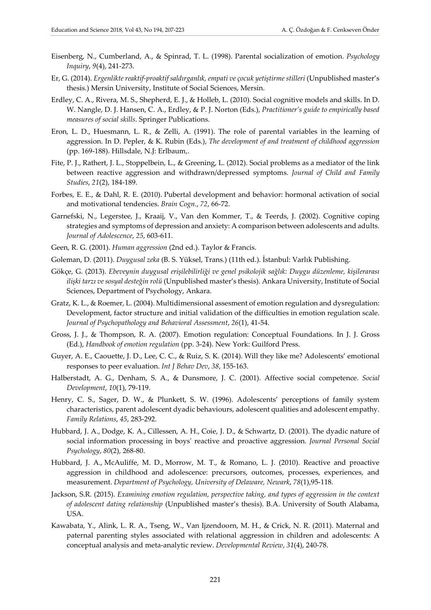- Eisenberg, N., Cumberland, A., & Spinrad, T. L. (1998). Parental socialization of emotion. *[Psychology](http://www.ncbi.nlm.nih.gov/pubmed/16865170)  [Inquiry](http://www.ncbi.nlm.nih.gov/pubmed/16865170)*, *9*(4), 241-273.
- Er, G. (2014). *Ergenlikte reaktif-proaktif saldırganlık, empati ve çocuk yetiştirme stilleri* (Unpublished master's thesis.) Mersin University, Institute of Social Sciences, Mersin.
- Erdley, C. A., Rivera, M. S., Shepherd, E. J., & Holleb, L. (2010). Social cognitive models and skills. In D. W. Nangle, D. J. Hansen, C. A., Erdley, & P. J. Norton (Eds.), *Practitioner's guide to empirically based measures of social skills*. Springer Publications.
- Eron, L. D., Huesmann, L. R., & Zelli, A. (1991). The role of parental variables in the learning of aggression. In D. Pepler, & K. Rubin (Eds.), *The development of and treatment of childhood aggression* (pp. 169-188). Hillsdale, N.J: Erlbaum,.
- Fite, P. J., Rathert, J. L., Stoppelbein, L., & Greening, L. (2012). Social problems as a mediator of the link between reactive aggression and withdrawn/depressed symptoms. *[Journal of Child and Family](https://www.springerprofessional.de/journal-of-child-and-family-studies/5500514)  [Studies](https://www.springerprofessional.de/journal-of-child-and-family-studies/5500514)*, *21*(2), 184-189.
- Forbes, E. E., & Dahl, R. E. (2010). Pubertal development and behavior: hormonal activation of social and motivational tendencies. *Brain Cogn.*, *72*, 66-72.
- Garnefski, N., Legerstee, J., Kraaij, V., Van den Kommer, T., & Teerds, J. (2002). [Cognitive](http://www.socialsciences.leidenuniv.nl/general/img/garnefski__legerstee__kraaij_et_al_2002_tcm18-82107.pdf) coping strategies and symptoms of depression and anxiety: A [comparison](http://www.socialsciences.leidenuniv.nl/general/img/garnefski__legerstee__kraaij_et_al_2002_tcm18-82107.pdf) between adolescents and adults. *Journal of Adolescence*, *25*, 603-611.
- Geen, R. G. (2001). *Human aggression* (2nd ed.). Taylor & Francis.
- Goleman, D. (2011). *Duygusal zeka* (B. S. Yüksel, Trans.) (11th ed.). İstanbul: Varlık Publishing.
- Gökçe, G. (2013). *Ebeveynin duygusal erişilebilirliği ve genel psikolojik sağlık: Duygu düzenleme, kişilerarası ilişki tarzı ve sosyal desteğin rolü* (Unpublished master's thesis). Ankara University, Institute of Social Sciences, Department of Psychology, Ankara.
- Gratz, K. L., & Roemer, L. (2004). Multidimensional assesment of emotion regulation and dysregulation: Development, factor structure and initial validation of the difficulties in emotion regulation scale. *Journal of [Psychopathology](http://link.springer.com/journal/10862) and Behavioral Assessment*, *26*(1), 41-54.
- Gross, J. J., & Thompson, R. A. (2007). Emotion regulation: Conceptual Foundations. In J. J. Gross (Ed.), *Handbook of emotion regulation* (pp. 3-24). New York: Guilford Press.
- Guyer, A. E., Caouette, J. D., Lee, C. C., & Ruiz, S. K. (2014). Will they like me? Adolescents' emotional responses to peer evaluation. *Int J Behav Dev*, *38*, 155-163.
- Halberstadt, A. G., Denham, S. A., & Dunsmore, J. C. (2001). Affective social competence. *Social Development*, *10*(1), 79-119.
- Henry, C. S., Sager, D. W., & Plunkett, S. W. (1996). Adolescents' perceptions of family system characteristics, parent adolescent dyadic behaviours, adolescent qualities and adolescent empathy. *Family Relations*, *45*, 283-292.
- Hubbard, J. A., Dodge, K. A., Cillessen, A. H., Coie, J. D., & Schwartz, D. (2001). The dyadic nature of social information processing in boys' reactive and proactive aggression. *Journal Personal Social Psychology*, *80*(2), 268-80.
- Hubbard, J. A., McAuliffe, M. D., Morrow, M. T., & Romano, L. J. (2010). Reactive and proactive aggression in childhood and adolescence: precursors, outcomes, processes, experiences, and measurement. *Department of Psychology, University of Delaware, Newark*, *78*(1),95-118.
- Jackson, S.R. (2015). *Examining emotion regulation, perspective taking, and types of aggression in the context of adolescent dating relationship* (Unpublished master's thesis). B.A. University of South Alabama, USA.
- Kawabata, Y., Alink, L. R. A., Tseng, W., Van Ijzendoorn, M. H., & Crick, N. R. (2011). Maternal and paternal parenting styles associated with relational aggression in children and adolescents: A conceptual analysis and meta-analytic review. *Developmental Review*, *31*(4), 240-78.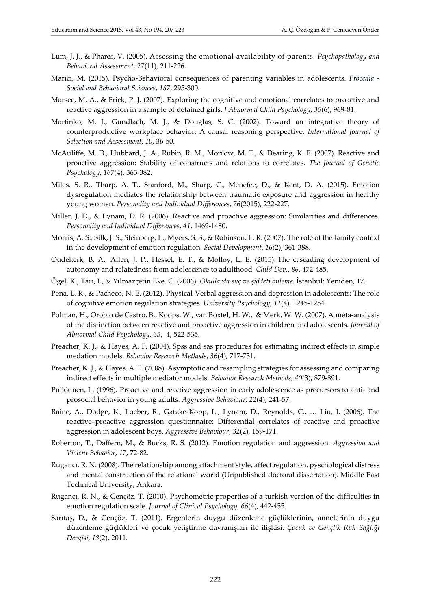- Lum, J. J., & Phares, V. (2005). Assessing the emotional availability of parents. *Psychopathology and Behavioral Assessment*, *27*(11), 211-226.
- Marici, M. (2015). Psycho-Behavioral consequences of parenting variables in adolescents. *[Procedia](http://www.sciencedirect.com/science/journal/18770428) - Social and [Behavioral](http://www.sciencedirect.com/science/journal/18770428) Sciences*, *187*, 295-300.
- Marsee, M. A., & Frick, P. J. (2007). Exploring the cognitive and emotional correlates to proactive and reactive aggression in a sample of detained girls. *J Abnormal Child Psychology*, *35*(6), 969-81.
- Martinko, M. J., Gundlach, M. J., & Douglas, S. C. (2002). Toward an integrative theory of counterproductive workplace behavior: A causal reasoning perspective. *International Journal of Selection and Assessment*, *10*, 36-50.
- McAuliffe, M. D., Hubbard, J. A., Rubin, R. M., Morrow, M. T., & Dearing, K. F. (2007). Reactive and proactive aggression: Stability of constructs and relations to correlates. *The Journal of Genetic Psychology*, *167(*4), 365-382.
- Miles, S. R., Tharp, A. T., Stanford, M., Sharp, C., Menefee, D., & Kent, D. A. (2015). Emotion dysregulation mediates the relationship between traumatic exposure and aggression in healthy young women. *Personality and Individual Differences*, *76*(2015), 222-227.
- Miller, J. D., & Lynam, D. R. (2006). Reactive and proactive aggression: Similarities and differences. *Personality and Individual Differences*, *41*, 1469-1480.
- Morris, A. S., Silk, J. S., Steinberg, L., Myers, S. S., & Robinson, L. R. (2007). The role of the family context in the development of emotion regulation. *Social Development*, *16(*2), 361-388.
- Oudekerk, B. A., Allen, J. P., Hessel, E. T., & Molloy, L. E. (2015). The cascading development of autonomy and relatedness from adolescence to adulthood*. Child Dev.*, *86*, 472-485.
- Ögel, K., Tarı, I., & Yılmazçetin Eke, C. (2006). *Okullarda suç ve şiddeti önleme*. İstanbul: Yeniden, 17.
- Pena, L. R., & Pacheco, N. E. (2012). Physical-Verbal aggression and depression in adolescents: The role of cognitive emotion regulation strategies. *University Psychology*, *11*(4), 1245-1254.
- Polman, H., Orobio de Castro, B., Koops, W., van Boxtel, H. W., & Merk, W. W. (2007). A meta-analysis of the distinction between reactive and proactive aggression in children and adolescents. *[Journal of](http://link.springer.com/journal/10802)  [Abnormal Child Psychology,](http://link.springer.com/journal/10802) 35*, [4,](http://link.springer.com/journal/10802/35/4/page/1) 522-535.
- Preacher, K. J., & Hayes, A. F. (2004). Spss and sas procedures for estimating indirect effects in simple medation models. *Behavior Research Methods*, *36*(4), 717-731.
- Preacher, K. J., & Hayes, A. F. (2008). Asymptotic and resampling strategies for assessing and comparing indirect effects in multiple mediator models. *Behavior Research Methods*, *40*(3), 879-891.
- Pulkkinen, L. (1996). Proactive and reactive aggression in early adolescence as precursors to anti- and prosocial behavior in young adults. *Aggressive Behaviour*, *22*(4), 241-57.
- Raine, A., Dodge, K., Loeber, R., Gatzke-Kopp, L., Lynam, D., Reynolds, C., … Liu, J. (2006). The reactive–proactive aggression questionnaire: Differential correlates of reactive and proactive aggression in adolescent boys. *[Aggressive Behaviour](http://www.ncbi.nlm.nih.gov/entrez/eutils/elink.fcgi?dbfrom=pubmed&retmode=ref&cmd=prlinks&id=20798781)*, *32*(2), 159-171.
- Roberton, T., Daffern, M., & Bucks, R. S. (2012). Emotion regulation and aggression. *Aggression and Violent Behavior*, *17*, 72-82.
- Rugancı, R. N. (2008). The relationship among attachment style, affect regulation, pyschological distress and mental construction of the relational world (Unpublished doctoral dissertation). Middle East Technical University, Ankara.
- Rugancı, R. N., & Gençöz, T. (2010). Psychometric properties of a turkish version of the difficulties in emotion regulation scale. *Journal of Clinical Psychology*, *66*(4), 442-455.
- Sarıtaş, D., & Gençöz, T. (2011). Ergenlerin duygu düzenleme güçlüklerinin, annelerinin duygu düzenleme güçlükleri ve çocuk yetiştirme davranışları ile ilişkisi. *Çocuk ve Gençlik Ruh Sağlığı Dergisi*, *18*(2), 2011.